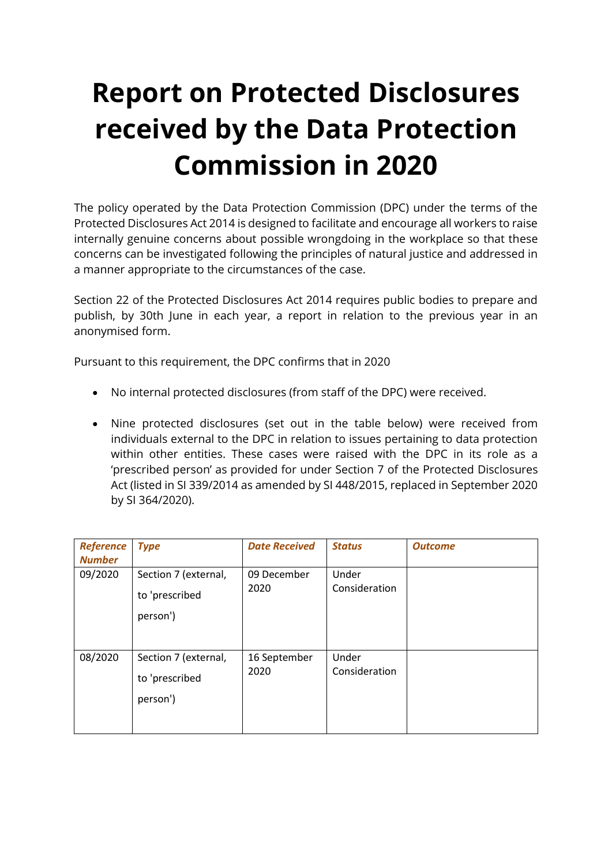## **Report on Protected Disclosures received by the Data Protection Commission in 2020**

The policy operated by the Data Protection Commission (DPC) under the terms of the Protected Disclosures Act 2014 is designed to facilitate and encourage all workers to raise internally genuine concerns about possible wrongdoing in the workplace so that these concerns can be investigated following the principles of natural justice and addressed in a manner appropriate to the circumstances of the case.

Section 22 of the Protected Disclosures Act 2014 requires public bodies to prepare and publish, by 30th June in each year, a report in relation to the previous year in an anonymised form.

Pursuant to this requirement, the DPC confirms that in 2020

- No internal protected disclosures (from staff of the DPC) were received.
- Nine protected disclosures (set out in the table below) were received from individuals external to the DPC in relation to issues pertaining to data protection within other entities. These cases were raised with the DPC in its role as a 'prescribed person' as provided for under Section 7 of the Protected Disclosures Act (listed in SI 339/2014 as amended by SI 448/2015, replaced in September 2020 by SI 364/2020).

| <b>Reference</b><br><b>Number</b> | <b>Type</b>                                        | <b>Date Received</b> | <b>Status</b>          | <b>Outcome</b> |
|-----------------------------------|----------------------------------------------------|----------------------|------------------------|----------------|
| 09/2020                           | Section 7 (external,<br>to 'prescribed<br>person') | 09 December<br>2020  | Under<br>Consideration |                |
| 08/2020                           | Section 7 (external,<br>to 'prescribed<br>person') | 16 September<br>2020 | Under<br>Consideration |                |